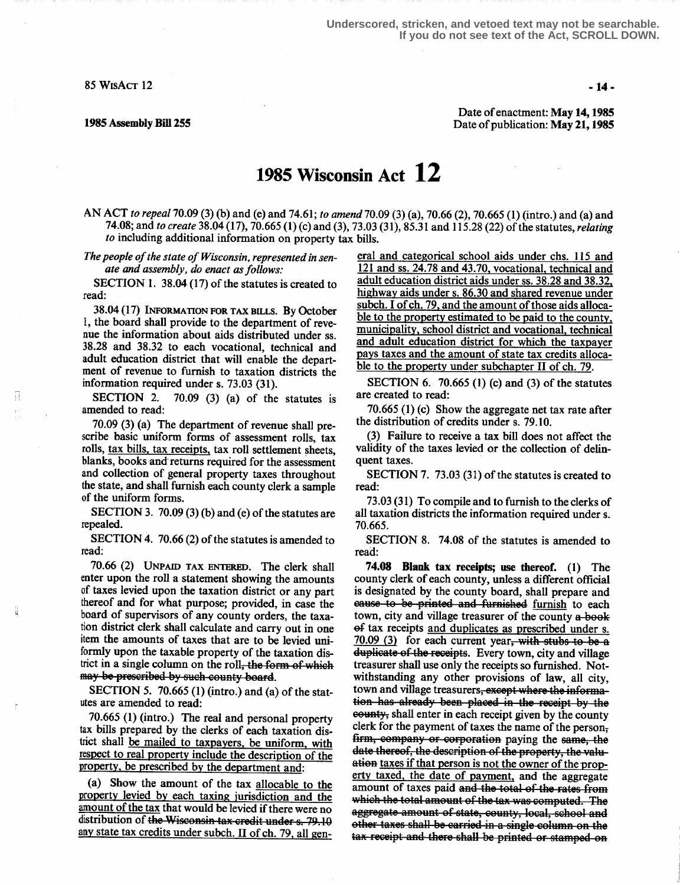85 WISACT 12  $-14-$ 

H

ä

Date of enactment: May 14,1985 1985 Assembly Bill 255 **Date of publication: May 21, 1985** Date of publication: May 21, 1985

## 1985 Wisconsin Act 12

AN ACT to repeal 70.09 (3) (b) and (e) and 74.61; to amend 70.09 (3) (a), 70.66 (2), 70.665 (1) (intro.) and (a) and 74.08; and to create 38.04 (17), 70.665 (1) (c) and (3), 73.03 (31), 85.31 and 115.28 (22) of the statutes, relating to including additional information on property tax bills.

The people of the state of Wisconsin, represented in senate and assembly, do enact as follows:

SECTION 1. 38.04 (17) of the statutes is created to read:

38.04 (17) INFORMATION FOR TAX BILLS. By October l, the board shall provide to the department of revenue the information about aids distributed under ss. <sup>38</sup> .28 and 3832 to each vocational, technical and adult education district that will enable the department of revenue to furnish to taxation districts the information required under s. 73.03 (31).<br>SECTION 2. 70.09 (3) (a) of the

 $70.09$  (3) (a) of the statutes is amended to read:

70.09 (3) (a) The department of revenue shall prescribe basic uniform forms of assessment rolls, tax rolls, tax bills, tax receipts, tax roll settlement sheets, blanks, books and returns required for the assessment and collection of general property taxes throughout the state, and shall furnish each county clerk a sample of the uniform forms.

SECTION 3. 70.09 (3) (b) and (e) of the statutes are repealed.

SECTION 4. 70.66 (2) of the statutes is amended to read:

70.66 (2) UNPAID TAX ENTERED. The clerk shall enter upon the roll a statement showing the amounts of taxes levied upon the taxation district or any part thereof and for what purpose; provided, in case the board of supervisors of any county orders, the taxation district clerk shall calculate and carry out in one item the amounts of taxes that are to be levied uniformly upon the taxable property of the taxation district in a single column on the roll<del>, the form of which</del> may be prescribed by such county board.

SECTION 5. 70.665 (1) (intro.) and (a) of the statutes are amended to read:

70.665 (1) (intro.) The real and personal property tax bills prepared by the clerks of each taxation district shall be mailed to taxpayers, be uniform, with respect to real property include the description of the property, be prescribed by the department and:

(a) Show the amount of the tax allocable to the property levied by each taxing iurisdiction and the amount of the tax that would be levied if there were no distribution of the Wisconsin tax credit under s. 79.10 any state tax credits under subch. II of ch. 79, all general and categorical school aids under chs. 115 and 121 and ss. 24.78 and 43.70, vocational, technical and adult education district aids under ss. 38.28 and 38.32, highway aids under s. 86.30 and shared revenue under subch. I of ch.  $79$ , and the amount of those aids alloca-<br>ble to the property estimated to be paid to the county, municipality, school district and vocational, technical and adult education district for which the taxpayer pays taxes and the amount of state tax credits allocable to the property under subchapter II of ch. 79.

SECTION 6. 70.665 (1) (c) and (3) of the statutes are created to read:

70.665 (1) (c) Show the aggregate net tax rate after the distribution of credits under s. 79.10.

(3) Failure to receive a tax bill does not affect the validity of the taxes levied or the collection of delinquent taxes.

SECTION 7. 73.03 (31) of the statutes is created to read:

73.03 (31) To compile and to furnish to the clerks of all taxation districts the information required under s. 70.665.

SECTION 8. 74.08 of the statutes is amended to read:

74.08 Blank tax receipts; use thereof. (1) The county clerk of each county, unless a different official is designated by the county board, shall prepare and cause to be printed and furnished furnish to each town, city and village treasurer of the county a-book of tax receipts and duplicates as prescribed under s.  $70.09$  (3) for each current year, with stubs to be a duplicate of the receipts. Every town, city and village treasurer shall use only the receipts so furnished . Notwithstanding any other provisions of law, all city, town and village treasurers, except where the information has already been placed in the receipt by the estarty, shall enter in each receipt given by the county clerk for the payment of taxes the name of the person; firm, company or corporation paying the same, the date thereof, the description of the property, the valuation taxes if that person is not the owner of the property taxed, the date of payment, and the aggregate amount of taxes paid and the total of the rates from<br>which the total amount of the tax was computed. The gate amount of state, county, local, see  $\frac{1}{100}$  other taxes shall be carried in a single column on the state of the state of the state of the state of the state of the state of the state of the state of the state of the state of the state of the state of th tax receipt and there shall be printed or stamped on